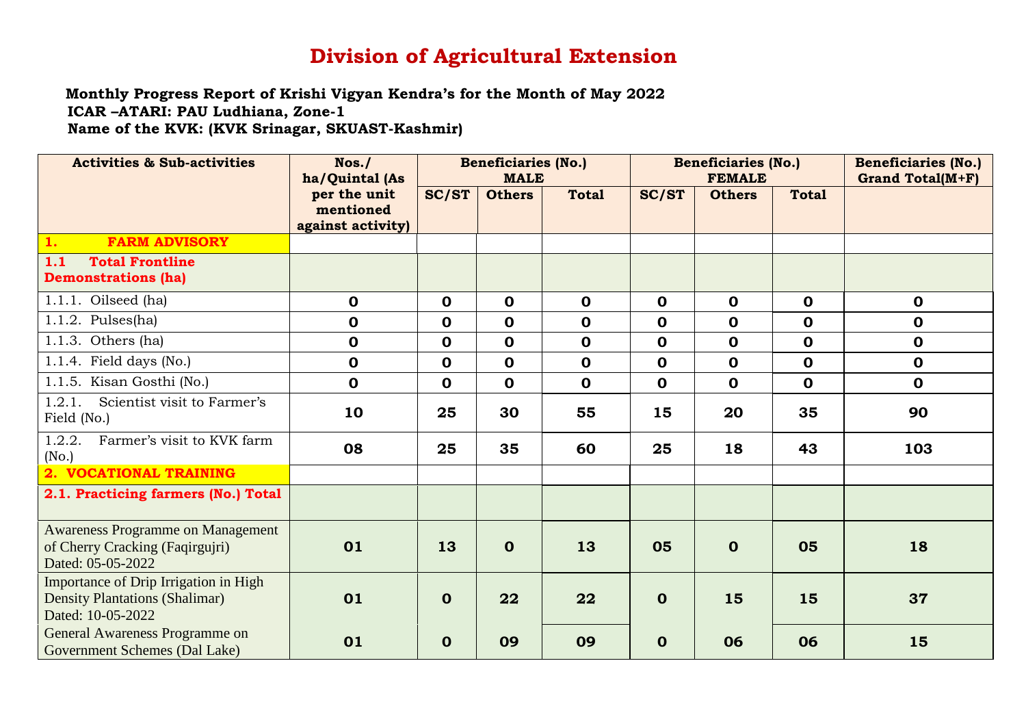## **Division of Agricultural Extension**

 **Monthly Progress Report of Krishi Vigyan Kendra's for the Month of May 2022 ICAR –ATARI: PAU Ludhiana, Zone-1 Name of the KVK: (KVK Srinagar, SKUAST-Kashmir)**

| <b>Activities &amp; Sub-activities</b>                                                              | Nos.<br>ha/Quintal (As                         | <b>Beneficiaries (No.)</b><br><b>MALE</b> |               |              | <b>Beneficiaries (No.)</b><br><b>FEMALE</b> |               |              | <b>Beneficiaries (No.)</b><br><b>Grand Total(M+F)</b> |
|-----------------------------------------------------------------------------------------------------|------------------------------------------------|-------------------------------------------|---------------|--------------|---------------------------------------------|---------------|--------------|-------------------------------------------------------|
|                                                                                                     | per the unit<br>mentioned<br>against activity) | <b>SC/ST</b>                              | <b>Others</b> | <b>Total</b> | <b>SC/ST</b>                                | <b>Others</b> | <b>Total</b> |                                                       |
| <b>FARM ADVISORY</b><br>1.                                                                          |                                                |                                           |               |              |                                             |               |              |                                                       |
| 1.1<br><b>Total Frontline</b><br><b>Demonstrations (ha)</b>                                         |                                                |                                           |               |              |                                             |               |              |                                                       |
| $1.1.1.$ Oilseed (ha)                                                                               | $\mathbf 0$                                    | $\mathbf 0$                               | $\mathbf 0$   | $\mathbf 0$  | $\mathbf 0$                                 | $\mathbf 0$   | $\mathbf 0$  | $\mathbf 0$                                           |
| $1.1.2.$ Pulses(ha)                                                                                 | $\mathbf 0$                                    | $\mathbf 0$                               | $\mathbf 0$   | $\mathbf 0$  | $\mathbf 0$                                 | $\mathbf 0$   | $\mathbf 0$  | $\mathbf 0$                                           |
| 1.1.3. Others $(ha)$                                                                                | $\mathbf 0$                                    | $\mathbf 0$                               | $\mathbf 0$   | $\mathbf 0$  | $\mathbf 0$                                 | $\mathbf 0$   | $\mathbf 0$  | $\mathbf 0$                                           |
| 1.1.4. Field days (No.)                                                                             | $\mathbf 0$                                    | $\mathbf 0$                               | $\mathbf 0$   | $\mathbf 0$  | $\mathbf 0$                                 | $\mathbf 0$   | $\mathbf 0$  | $\mathbf 0$                                           |
| 1.1.5. Kisan Gosthi (No.)                                                                           | $\mathbf 0$                                    | $\mathbf 0$                               | $\mathbf 0$   | $\mathbf 0$  | $\mathbf 0$                                 | $\mathbf 0$   | $\mathbf 0$  | $\mathbf 0$                                           |
| 1.2.1.<br>Scientist visit to Farmer's<br>Field (No.)                                                | 10                                             | 25                                        | 30            | 55           | 15                                          | 20            | 35           | 90                                                    |
| 1.2.2.<br>Farmer's visit to KVK farm<br>(No.)                                                       | 08                                             | 25                                        | 35            | 60           | 25                                          | 18            | 43           | 103                                                   |
| 2. VOCATIONAL TRAINING                                                                              |                                                |                                           |               |              |                                             |               |              |                                                       |
| 2.1. Practicing farmers (No.) Total                                                                 |                                                |                                           |               |              |                                             |               |              |                                                       |
| <b>Awareness Programme on Management</b><br>of Cherry Cracking (Faqirgujri)<br>Dated: 05-05-2022    | 01                                             | 13                                        | $\mathbf 0$   | 13           | 05                                          | $\mathbf 0$   | 05           | 18                                                    |
| Importance of Drip Irrigation in High<br><b>Density Plantations (Shalimar)</b><br>Dated: 10-05-2022 | 01                                             | $\mathbf 0$                               | 22            | 22           | $\mathbf 0$                                 | 15            | 15           | 37                                                    |
| General Awareness Programme on<br>Government Schemes (Dal Lake)                                     | 01                                             | $\mathbf 0$                               | 09            | 09           | $\mathbf 0$                                 | 06            | 06           | 15                                                    |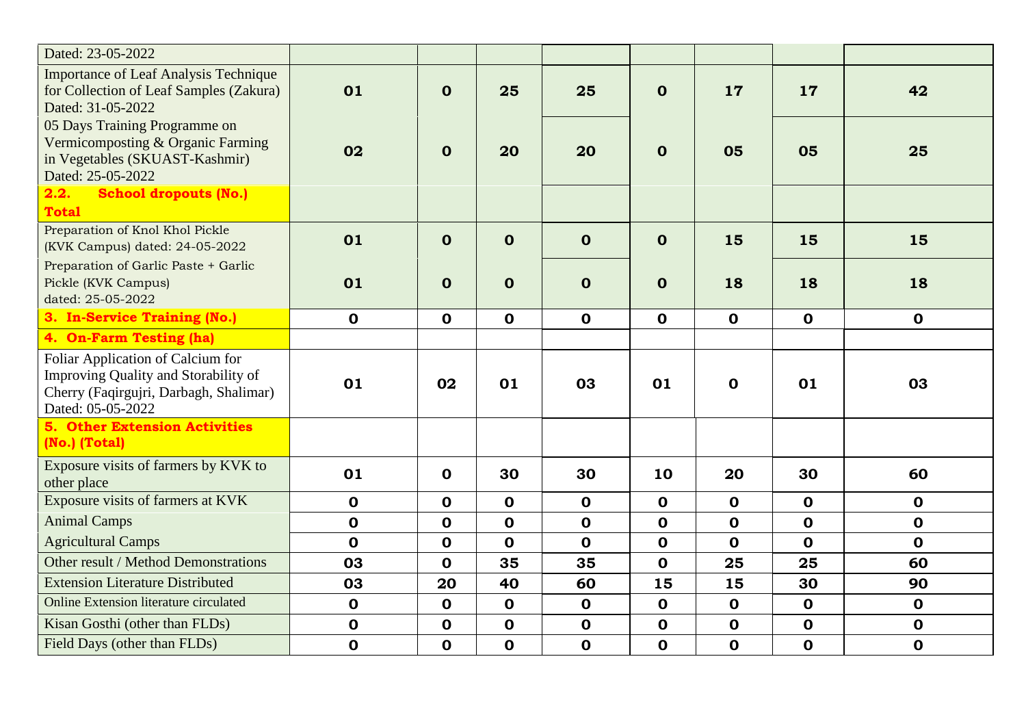| Dated: 23-05-2022                                                                                                                        |             |             |             |             |             |             |             |             |
|------------------------------------------------------------------------------------------------------------------------------------------|-------------|-------------|-------------|-------------|-------------|-------------|-------------|-------------|
| <b>Importance of Leaf Analysis Technique</b><br>for Collection of Leaf Samples (Zakura)<br>Dated: 31-05-2022                             | 01          | $\mathbf 0$ | 25          | 25          | $\mathbf 0$ | 17          | 17          | 42          |
| 05 Days Training Programme on<br>Vermicomposting & Organic Farming<br>in Vegetables (SKUAST-Kashmir)<br>Dated: 25-05-2022                | 02          | $\mathbf 0$ | 20          | 20          | $\mathbf 0$ | 05          | 05          | 25          |
| <b>School dropouts (No.)</b><br>2.2.<br><b>Total</b>                                                                                     |             |             |             |             |             |             |             |             |
| Preparation of Knol Khol Pickle<br>(KVK Campus) dated: 24-05-2022                                                                        | 01          | $\mathbf 0$ | $\mathbf 0$ | $\mathbf 0$ | $\mathbf 0$ | 15          | 15          | 15          |
| Preparation of Garlic Paste + Garlic<br>Pickle (KVK Campus)<br>dated: 25-05-2022                                                         | 01          | $\mathbf 0$ | $\mathbf 0$ | $\mathbf 0$ | $\mathbf 0$ | 18          | 18          | 18          |
| 3. In-Service Training (No.)                                                                                                             | $\mathbf 0$ | $\mathbf 0$ | $\mathbf 0$ | $\mathbf 0$ | $\mathbf 0$ | $\mathbf 0$ | $\mathbf 0$ | $\mathbf 0$ |
| 4. On-Farm Testing (ha)                                                                                                                  |             |             |             |             |             |             |             |             |
| Foliar Application of Calcium for<br>Improving Quality and Storability of<br>Cherry (Faqirgujri, Darbagh, Shalimar)<br>Dated: 05-05-2022 | 01          | 02          | 01          | 03          | 01          | $\mathbf 0$ | 01          | 03          |
| <b>5. Other Extension Activities</b><br>(No.) (Total)                                                                                    |             |             |             |             |             |             |             |             |
| Exposure visits of farmers by KVK to<br>other place                                                                                      | 01          | $\mathbf 0$ | 30          | 30          | 10          | 20          | 30          | 60          |
| Exposure visits of farmers at KVK                                                                                                        | $\mathbf 0$ | $\mathbf 0$ | $\mathbf 0$ | $\mathbf 0$ | $\mathbf 0$ | $\mathbf 0$ | $\mathbf 0$ | $\mathbf 0$ |
| <b>Animal Camps</b>                                                                                                                      | $\mathbf 0$ | $\mathbf 0$ | $\mathbf 0$ | $\mathbf 0$ | $\mathbf 0$ | $\mathbf 0$ | $\mathbf 0$ | $\mathbf 0$ |
| <b>Agricultural Camps</b>                                                                                                                | $\mathbf 0$ | $\mathbf 0$ | $\mathbf 0$ | $\mathbf 0$ | $\mathbf 0$ | $\mathbf 0$ | $\mathbf 0$ | $\mathbf 0$ |
| Other result / Method Demonstrations                                                                                                     | 03          | $\mathbf 0$ | 35          | 35          | $\mathbf 0$ | 25          | 25          | 60          |
| <b>Extension Literature Distributed</b>                                                                                                  | 03          | 20          | 40          | 60          | 15          | 15          | 30          | 90          |
| Online Extension literature circulated                                                                                                   | $\mathbf 0$ | $\mathbf 0$ | $\mathbf 0$ | $\mathbf 0$ | $\mathbf 0$ | $\mathbf 0$ | $\mathbf 0$ | $\mathbf 0$ |
| Kisan Gosthi (other than FLDs)                                                                                                           | $\mathbf 0$ | $\mathbf 0$ | $\mathbf 0$ | $\mathbf 0$ | $\mathbf 0$ | $\mathbf 0$ | $\mathbf 0$ | $\mathbf 0$ |
| Field Days (other than FLDs)                                                                                                             | $\mathbf 0$ | $\mathbf 0$ | $\mathbf 0$ | $\mathbf 0$ | $\mathbf 0$ | $\mathbf 0$ | $\mathbf 0$ | $\mathbf 0$ |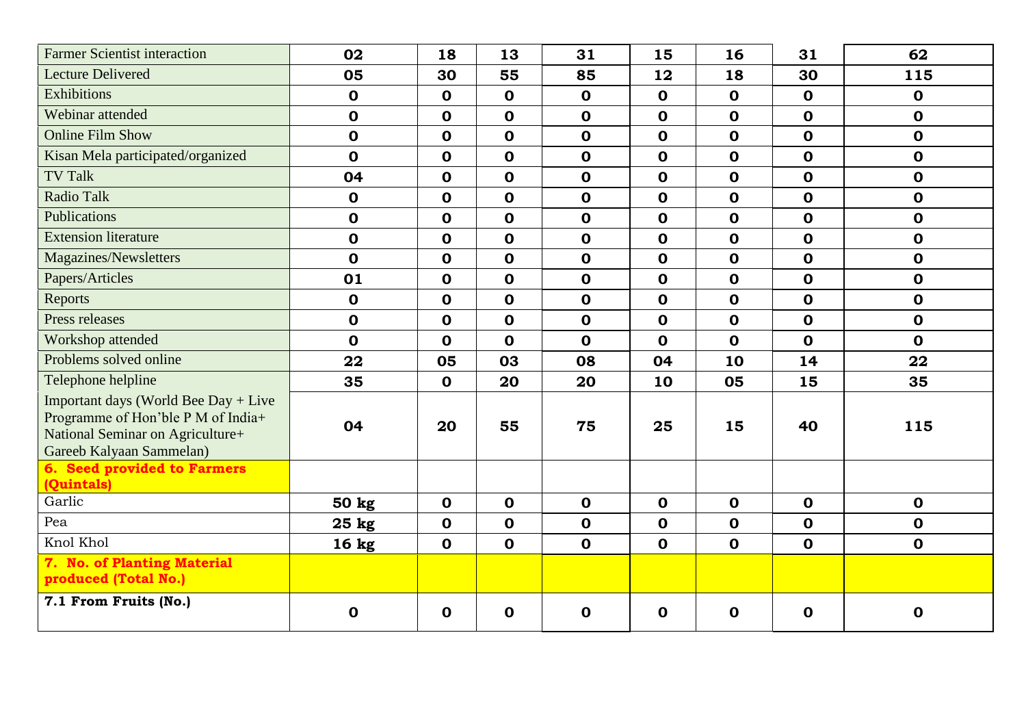| <b>Farmer Scientist interaction</b>                                                                                                        | 02               | 18          | 13          | 31          | 15          | 16          | 31          | 62           |
|--------------------------------------------------------------------------------------------------------------------------------------------|------------------|-------------|-------------|-------------|-------------|-------------|-------------|--------------|
| <b>Lecture Delivered</b>                                                                                                                   | 05               | 30          | 55          | 85          | 12          | 18          | 30          | 115          |
| Exhibitions                                                                                                                                | $\mathbf 0$      | $\mathbf 0$ | $\mathbf 0$ | $\mathbf 0$ | $\mathbf 0$ | $\mathbf 0$ | $\mathbf 0$ | $\mathbf 0$  |
| Webinar attended                                                                                                                           | $\mathbf 0$      | $\mathbf 0$ | $\mathbf 0$ | $\mathbf 0$ | $\mathbf 0$ | $\mathbf 0$ | $\mathbf 0$ | $\mathbf 0$  |
| <b>Online Film Show</b>                                                                                                                    | $\mathbf 0$      | $\mathbf 0$ | $\mathbf 0$ | $\mathbf 0$ | $\mathbf 0$ | $\mathbf 0$ | $\mathbf 0$ | $\mathbf 0$  |
| Kisan Mela participated/organized                                                                                                          | $\mathbf 0$      | $\mathbf 0$ | $\mathbf 0$ | $\mathbf 0$ | $\mathbf 0$ | $\mathbf 0$ | $\mathbf 0$ | $\mathbf 0$  |
| <b>TV Talk</b>                                                                                                                             | 04               | $\mathbf 0$ | $\mathbf 0$ | $\mathbf 0$ | $\mathbf 0$ | $\mathbf 0$ | $\mathbf 0$ | $\mathbf 0$  |
| <b>Radio Talk</b>                                                                                                                          | $\mathbf 0$      | $\mathbf 0$ | $\mathbf 0$ | $\mathbf 0$ | $\mathbf 0$ | $\mathbf 0$ | $\mathbf 0$ | $\mathbf 0$  |
| <b>Publications</b>                                                                                                                        | $\mathbf 0$      | $\mathbf 0$ | $\mathbf 0$ | $\mathbf 0$ | $\mathbf 0$ | $\mathbf 0$ | $\mathbf 0$ | $\mathbf 0$  |
| <b>Extension literature</b>                                                                                                                | $\mathbf 0$      | $\mathbf 0$ | $\mathbf 0$ | $\mathbf 0$ | $\mathbf 0$ | $\mathbf 0$ | $\mathbf 0$ | $\mathbf 0$  |
| Magazines/Newsletters                                                                                                                      | $\mathbf 0$      | $\mathbf 0$ | $\mathbf 0$ | $\mathbf 0$ | $\mathbf 0$ | $\mathbf 0$ | $\mathbf 0$ | $\mathbf 0$  |
| Papers/Articles                                                                                                                            | 01               | $\mathbf 0$ | $\mathbf 0$ | $\mathbf 0$ | $\mathbf 0$ | $\mathbf 0$ | $\mathbf 0$ | $\mathbf 0$  |
| Reports                                                                                                                                    | $\mathbf 0$      | $\mathbf 0$ | $\mathbf 0$ | $\mathbf 0$ | $\mathbf 0$ | $\mathbf 0$ | $\mathbf 0$ | $\mathbf 0$  |
| Press releases                                                                                                                             | $\mathbf 0$      | $\mathbf 0$ | $\mathbf 0$ | $\mathbf 0$ | $\mathbf 0$ | $\mathbf 0$ | $\mathbf 0$ | $\mathbf 0$  |
| Workshop attended                                                                                                                          | $\mathbf 0$      | $\mathbf 0$ | $\mathbf 0$ | $\mathbf 0$ | $\mathbf 0$ | $\mathbf 0$ | $\mathbf 0$ | $\mathbf{O}$ |
| Problems solved online                                                                                                                     | 22               | 05          | 03          | 08          | 04          | 10          | 14          | 22           |
| Telephone helpline                                                                                                                         | 35               | $\mathbf 0$ | 20          | 20          | 10          | 05          | 15          | 35           |
| Important days (World Bee Day + Live<br>Programme of Hon'ble P M of India+<br>National Seminar on Agriculture+<br>Gareeb Kalyaan Sammelan) | 04               | 20          | 55          | 75          | 25          | 15          | 40          | 115          |
| 6. Seed provided to Farmers<br>(Quintals)                                                                                                  |                  |             |             |             |             |             |             |              |
| Garlic                                                                                                                                     | 50 kg            | $\mathbf 0$ | $\mathbf 0$ | $\mathbf 0$ | $\mathbf 0$ | $\mathbf 0$ | $\mathbf 0$ | $\mathbf 0$  |
| Pea                                                                                                                                        | $25$ kg          | $\mathbf 0$ | $\mathbf 0$ | $\mathbf 0$ | $\mathbf 0$ | $\mathbf 0$ | $\mathbf 0$ | $\mathbf 0$  |
| Knol Khol                                                                                                                                  | 16 <sub>kg</sub> | $\mathbf 0$ | $\mathbf 0$ | $\mathbf 0$ | $\mathbf 0$ | $\mathbf 0$ | $\mathbf 0$ | $\mathbf 0$  |
| 7. No. of Planting Material<br>produced (Total No.)                                                                                        |                  |             |             |             |             |             |             |              |
| 7.1 From Fruits (No.)                                                                                                                      | $\mathbf 0$      | $\mathbf 0$ | $\mathbf 0$ | $\mathbf 0$ | $\mathbf 0$ | $\mathbf 0$ | $\mathbf 0$ | $\mathbf 0$  |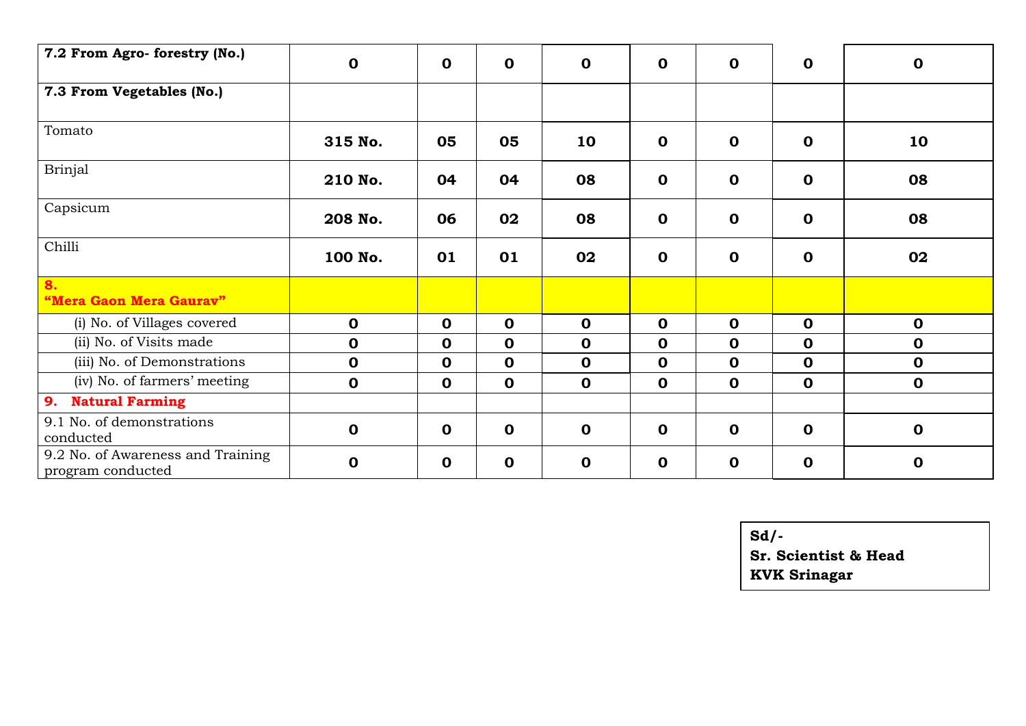| 7.2 From Agro- forestry (No.)                          | $\mathbf 0$ | $\mathbf 0$ | $\mathbf 0$ | $\mathbf 0$ | $\mathbf 0$ | $\mathbf 0$ | $\mathbf 0$ | $\mathbf 0$ |
|--------------------------------------------------------|-------------|-------------|-------------|-------------|-------------|-------------|-------------|-------------|
| 7.3 From Vegetables (No.)                              |             |             |             |             |             |             |             |             |
| Tomato                                                 | 315 No.     | 05          | 05          | 10          | $\mathbf 0$ | $\mathbf 0$ | $\mathbf 0$ | 10          |
| <b>Brinjal</b>                                         | 210 No.     | 04          | 04          | 08          | $\mathbf 0$ | $\mathbf 0$ | $\mathbf 0$ | 08          |
| Capsicum                                               | 208 No.     | 06          | 02          | 08          | $\mathbf 0$ | $\mathbf 0$ | $\mathbf 0$ | 08          |
| Chilli                                                 | 100 No.     | 01          | 01          | 02          | $\mathbf 0$ | $\mathbf 0$ | $\mathbf 0$ | 02          |
| 8.<br>"Mera Gaon Mera Gaurav"                          |             |             |             |             |             |             |             |             |
| (i) No. of Villages covered                            | $\mathbf 0$ | $\mathbf 0$ | $\mathbf 0$ | $\mathbf 0$ | $\mathbf 0$ | $\mathbf 0$ | $\mathbf 0$ | $\mathbf 0$ |
| (ii) No. of Visits made                                | $\mathbf 0$ | $\mathbf 0$ | $\mathbf 0$ | $\mathbf 0$ | $\mathbf 0$ | $\mathbf 0$ | $\mathbf 0$ | $\mathbf 0$ |
| (iii) No. of Demonstrations                            | $\mathbf 0$ | $\mathbf 0$ | $\mathbf 0$ | $\mathbf 0$ | $\mathbf 0$ | $\mathbf 0$ | $\mathbf 0$ | $\mathbf 0$ |
| (iv) No. of farmers' meeting                           | $\mathbf 0$ | $\mathbf 0$ | $\mathbf 0$ | $\mathbf 0$ | $\mathbf 0$ | $\mathbf 0$ | $\mathbf 0$ | $\mathbf 0$ |
| <b>Natural Farming</b><br>9.                           |             |             |             |             |             |             |             |             |
| 9.1 No. of demonstrations<br>conducted                 | $\mathbf 0$ | $\mathbf 0$ | $\mathbf 0$ | $\mathbf 0$ | $\mathbf 0$ | $\mathbf 0$ | $\mathbf 0$ | $\mathbf 0$ |
| 9.2 No. of Awareness and Training<br>program conducted | $\mathbf 0$ | $\mathbf 0$ | $\mathbf 0$ | $\mathbf 0$ | $\mathbf 0$ | $\mathbf 0$ | $\mathbf 0$ | $\mathbf 0$ |

**Sd/-**

**Sr. Scientist & Head KVK Srinagar**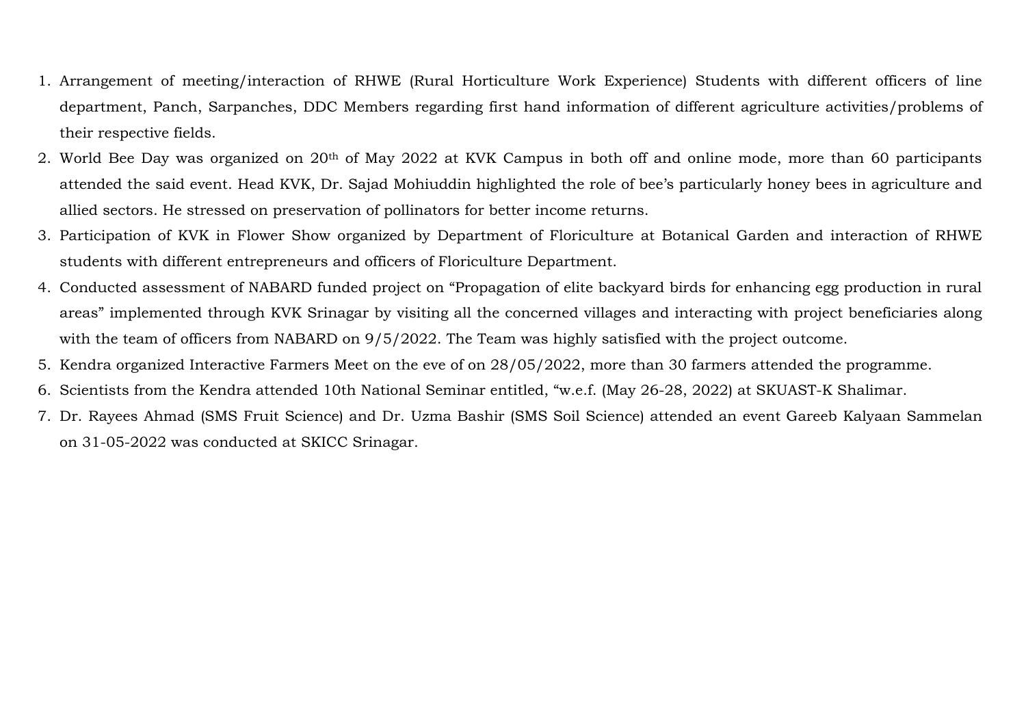- 1. Arrangement of meeting/interaction of RHWE (Rural Horticulture Work Experience) Students with different officers of line department, Panch, Sarpanches, DDC Members regarding first hand information of different agriculture activities/problems of their respective fields.
- 2. World Bee Day was organized on 20th of May 2022 at KVK Campus in both off and online mode, more than 60 participants attended the said event. Head KVK, Dr. Sajad Mohiuddin highlighted the role of bee's particularly honey bees in agriculture and allied sectors. He stressed on preservation of pollinators for better income returns.
- 3. Participation of KVK in Flower Show organized by Department of Floriculture at Botanical Garden and interaction of RHWE students with different entrepreneurs and officers of Floriculture Department.
- 4. Conducted assessment of NABARD funded project on "Propagation of elite backyard birds for enhancing egg production in rural areas" implemented through KVK Srinagar by visiting all the concerned villages and interacting with project beneficiaries along with the team of officers from NABARD on  $9/5/2022$ . The Team was highly satisfied with the project outcome.
- 5. Kendra organized Interactive Farmers Meet on the eve of on 28/05/2022, more than 30 farmers attended the programme.
- 6. Scientists from the Kendra attended 10th National Seminar entitled, "w.e.f. (May 26-28, 2022) at SKUAST-K Shalimar.
- 7. Dr. Rayees Ahmad (SMS Fruit Science) and Dr. Uzma Bashir (SMS Soil Science) attended an event Gareeb Kalyaan Sammelan on 31-05-2022 was conducted at SKICC Srinagar.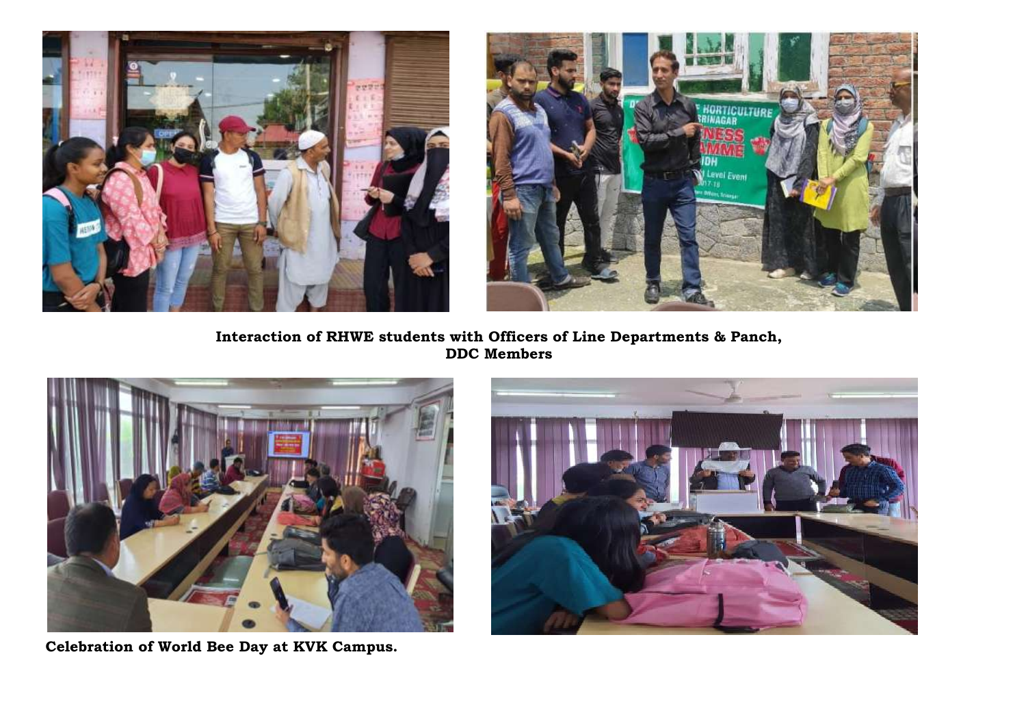



**Interaction of RHWE students with Officers of Line Departments & Panch, DDC Members**



 **Celebration of World Bee Day at KVK Campus.**

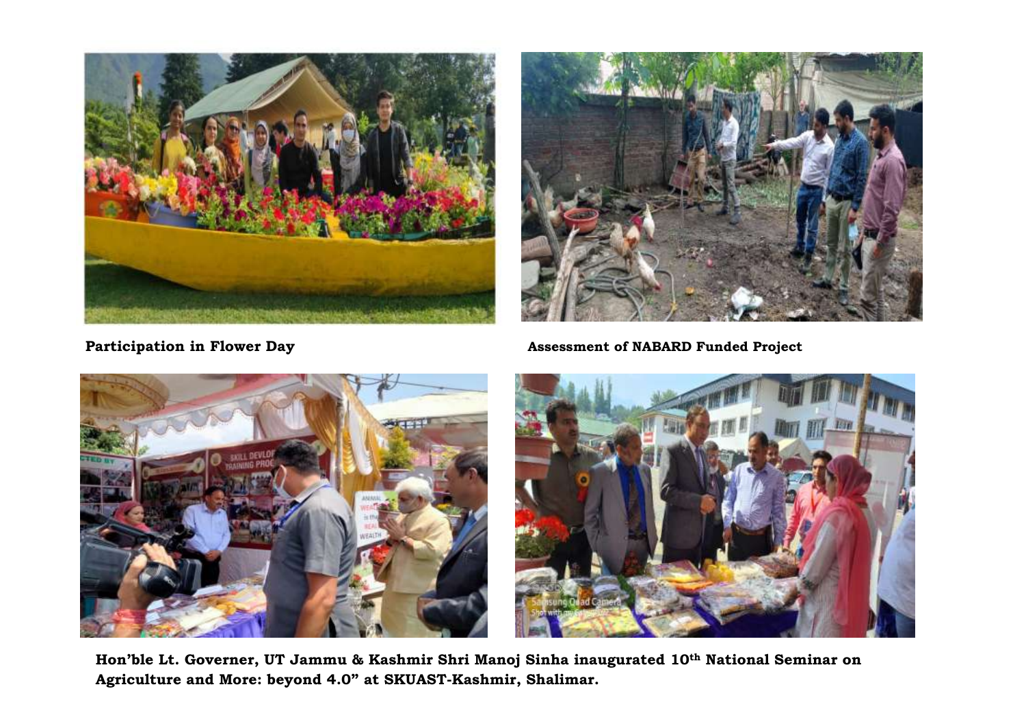



 **Participation in Flower Day Assessment of NABARD Funded Project** 





**Hon'ble Lt. Governer, UT Jammu & Kashmir Shri Manoj Sinha inaugurated 10th National Seminar on Agriculture and More: beyond 4.0" at SKUAST-Kashmir, Shalimar.**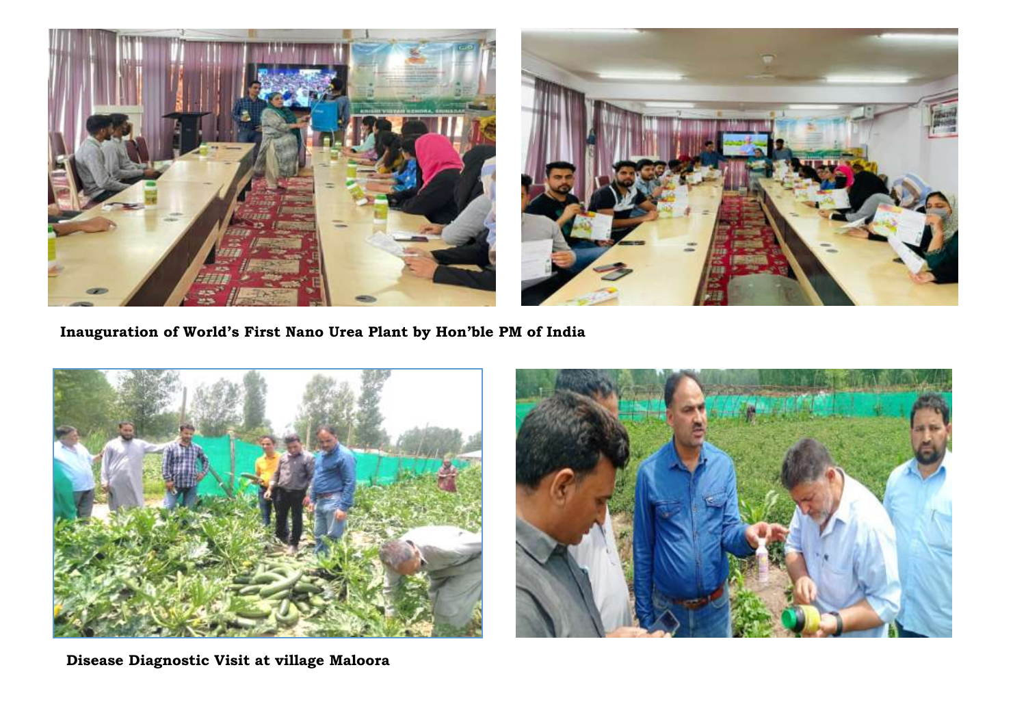

**Inauguration of World's First Nano Urea Plant by Hon'ble PM of India**





**Disease Diagnostic Visit at village Maloora**